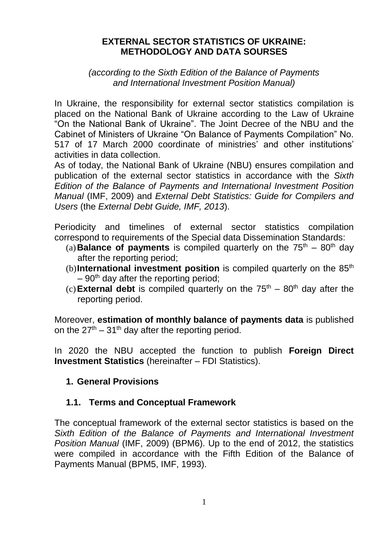#### **EXTERNAL SECTOR STATISTICS OF UKRAINE: METHODOLOGY AND DATA SOURSES**

*(according to the Sixth Edition of the Balance of Payments and International Investment Position Manual)*

In Ukraine, the responsibility for external sector statistics compilation is placed on the National Bank of Ukraine according to the Law of Ukraine "On the National Bank of Ukraine". The Joint Decree of the NBU and the Cabinet of Ministers of Ukraine "On Balance of Payments Compilation" No. 517 of 17 March 2000 coordinate of ministries' and other institutions' activities in data collection.

As of today, the National Bank of Ukraine (NBU) ensures compilation and publication of the external sector statistics in accordance with the *Sixth Edition of the Balance of Payments and International Investment Position Manual* (IMF, 2009) and *External Debt Statistics: Guide for Compilers and Users* (the *External Debt Guide, IMF, 2013*).

Periodicity and timelines of external sector statistics compilation correspond to requirements of the Special data Dissemination Standards:

- (a) **Balance of payments** is compiled quarterly on the  $75<sup>th</sup> 80<sup>th</sup>$  day after the reporting period;
- (b)**International investment position** is compiled quarterly on the 85<sup>th</sup>  $-90<sup>th</sup>$  day after the reporting period;
- (c) **External debt** is compiled quarterly on the  $75<sup>th</sup> 80<sup>th</sup>$  day after the reporting period.

Moreover, **estimation of monthly balance of payments data** is published on the  $27<sup>th</sup> - 31<sup>th</sup>$  day after the reporting period.

In 2020 the NBU accepted the function to publish **Foreign Direct Investment Statistics** (hereinafter – FDI Statistics).

# **1. General Provisions**

# **1.1. Terms and Conceptual Framework**

The conceptual framework of the external sector statistics is based on the *Sixth Edition of the Balance of Payments and International Investment Position Manual* (IMF, 2009) (BPM6). Up to the end of 2012, the statistics were compiled in accordance with the Fifth Edition of the Balance of Payments Manual (BPM5, IMF, 1993).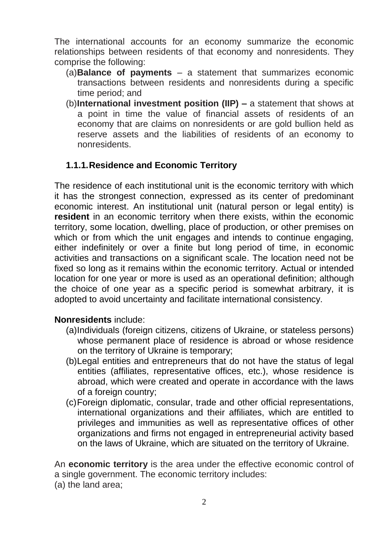The international accounts for an economy summarize the economic relationships between residents of that economy and nonresidents. They comprise the following:

- (a)**Balance of payments**  a statement that summarizes economic transactions between residents and nonresidents during a specific time period; and
- (b)**International investment position (IIP) –** a statement that shows at a point in time the value of financial assets of residents of an economy that are claims on nonresidents or are gold bullion held as reserve assets and the liabilities of residents of an economy to nonresidents.

# **1.1.1.Residence and Economic Territory**

The residence of each institutional unit is the economic territory with which it has the strongest connection, expressed as its center of predominant economic interest. An institutional unit (natural person or legal entity) is **resident** in an economic territory when there exists, within the economic territory, some location, dwelling, place of production, or other premises on which or from which the unit engages and intends to continue engaging, either indefinitely or over a finite but long period of time, in economic activities and transactions on a significant scale. The location need not be fixed so long as it remains within the economic territory. Actual or intended location for one year or more is used as an operational definition; although the choice of one year as a specific period is somewhat arbitrary, it is adopted to avoid uncertainty and facilitate international consistency.

# **Nonresidents** include:

- (a)Individuals (foreign citizens, citizens of Ukraine, or stateless persons) whose permanent place of residence is abroad or whose residence on the territory of Ukraine is temporary;
- (b)Legal entities and entrepreneurs that do not have the status of legal entities (affiliates, representative offices, etc.), whose residence is abroad, which were created and operate in accordance with the laws of a foreign country;
- (c)Foreign diplomatic, consular, trade and other official representations, international organizations and their affiliates, which are entitled to privileges and immunities as well as representative offices of other organizations and firms not engaged in entrepreneurial activity based on the laws of Ukraine, which are situated on the territory of Ukraine.

An **economic territory** is the area under the effective economic control of a single government. The economic territory includes: (a) the land area;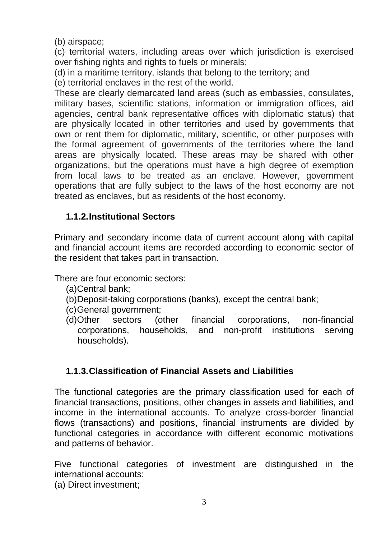(b) airspace;

(c) territorial waters, including areas over which jurisdiction is exercised over fishing rights and rights to fuels or minerals;

(d) in a maritime territory, islands that belong to the territory; and

(e) territorial enclaves in the rest of the world.

These are clearly demarcated land areas (such as embassies, consulates, military bases, scientific stations, information or immigration offices, aid agencies, central bank representative offices with diplomatic status) that are physically located in other territories and used by governments that own or rent them for diplomatic, military, scientific, or other purposes with the formal agreement of governments of the territories where the land areas are physically located. These areas may be shared with other organizations, but the operations must have a high degree of exemption from local laws to be treated as an enclave. However, government operations that are fully subject to the laws of the host economy are not treated as enclaves, but as residents of the host economy.

# **1.1.2.Institutional Sectors**

Primary and secondary income data of current account along with capital and financial account items are recorded according to economic sector of the resident that takes part in transaction.

There are four economic sectors:

- (a)Central bank;
- (b)Deposit-taking corporations (banks), except the central bank;
- (c)General government;
- (d)Other sectors (other financial corporations, non-financial corporations, households, and non-profit institutions serving households).

# **1.1.3.Classification of Financial Assets and Liabilities**

The functional categories are the primary classification used for each of financial transactions, positions, other changes in assets and liabilities, and income in the international accounts. To analyze cross-border financial flows (transactions) and positions, financial instruments are divided by functional categories in accordance with different economic motivations and patterns of behavior.

Five functional categories of investment are distinguished in the international accounts:

(a) Direct investment;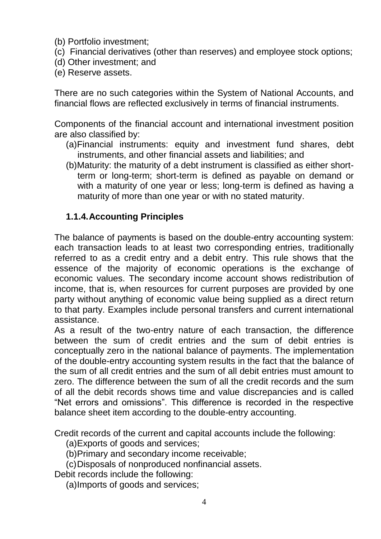- (b) Portfolio investment;
- (c) Financial derivatives (other than reserves) and employee stock options;
- (d) Other investment; and
- (e) Reserve assets.

There are no such categories within the System of National Accounts, and financial flows are reflected exclusively in terms of financial instruments.

Components of the financial account and international investment position are also classified by:

- (a)Financial instruments: equity and investment fund shares, debt instruments, and other financial assets and liabilities; and
- (b)Maturity: the maturity of a debt instrument is classified as either shortterm or long-term; short-term is defined as payable on demand or with a maturity of one year or less; long-term is defined as having a maturity of more than one year or with no stated maturity.

#### **1.1.4.Accounting Principles**

The balance of payments is based on the double-entry accounting system: each transaction leads to at least two corresponding entries, traditionally referred to as a credit entry and a debit entry. This rule shows that the essence of the majority of economic operations is the exchange of economic values. The secondary income account shows redistribution of income, that is, when resources for current purposes are provided by one party without anything of economic value being supplied as a direct return to that party. Examples include personal transfers and current international assistance.

As a result of the two-entry nature of each transaction, the difference between the sum of credit entries and the sum of debit entries is conceptually zero in the national balance of payments. The implementation of the double-entry accounting system results in the fact that the balance of the sum of all credit entries and the sum of all debit entries must amount to zero. The difference between the sum of all the credit records and the sum of all the debit records shows time and value discrepancies and is called "Net errors and omissions". This difference is recorded in the respective balance sheet item according to the double-entry accounting.

Credit records of the current and capital accounts include the following:

(a)Exports of goods and services;

(b)Primary and secondary income receivable;

(c)Disposals of nonproduced nonfinancial assets.

Debit records include the following:

(a)Imports of goods and services;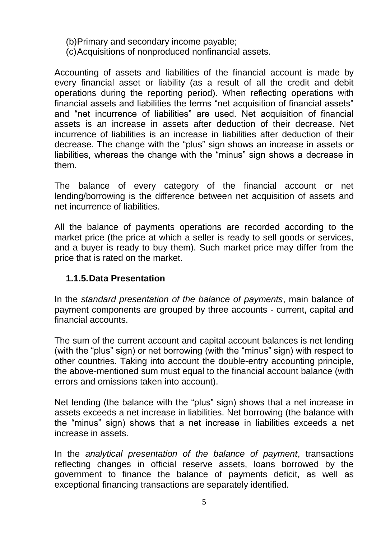- (b)Primary and secondary income payable;
- (c)Acquisitions of nonproduced nonfinancial assets.

Accounting of assets and liabilities of the financial account is made by every financial asset or liability (as a result of all the credit and debit operations during the reporting period). When reflecting operations with financial assets and liabilities the terms "net acquisition of financial assets" and "net incurrence of liabilities" are used. Net acquisition of financial assets is an increase in assets after deduction of their decrease. Net incurrence of liabilities is an increase in liabilities after deduction of their decrease. The change with the "plus" sign shows an increase in assets or liabilities, whereas the change with the "minus" sign shows a decrease in them.

The balance of every category of the financial account or net lending/borrowing is the difference between net acquisition of assets and net incurrence of liabilities.

All the balance of payments operations are recorded according to the market price (the price at which a seller is ready to sell goods or services, and a buyer is ready to buy them). Such market price may differ from the price that is rated on the market.

# **1.1.5.Data Presentation**

In the *standard presentation of the balance of payments*, main balance of payment components are grouped by three accounts - current, capital and financial accounts.

The sum of the current account and capital account balances is net lending (with the "plus" sign) or net borrowing (with the "minus" sign) with respect to other countries. Taking into account the double-entry accounting principle, the above-mentioned sum must equal to the financial account balance (with errors and omissions taken into account).

Net lending (the balance with the "plus" sign) shows that a net increase in assets exceeds a net increase in liabilities. Net borrowing (the balance with the "minus" sign) shows that a net increase in liabilities exceeds a net increase in assets.

In the *analytical presentation of the balance of payment*, transactions reflecting changes in official reserve assets, loans borrowed by the government to finance the balance of payments deficit, as well as exceptional financing transactions are separately identified.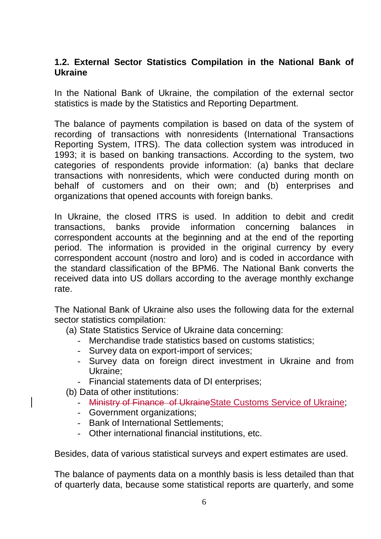#### **1.2. External Sector Statistics Compilation in the National Bank of Ukraine**

In the National Bank of Ukraine, the compilation of the external sector statistics is made by the Statistics and Reporting Department.

The balance of payments compilation is based on data of the system of recording of transactions with nonresidents (International Transactions Reporting System, ITRS). The data collection system was introduced in 1993; it is based on banking transactions. According to the system, two categories of respondents provide information: (a) banks that declare transactions with nonresidents, which were conducted during month on behalf of customers and on their own; and (b) enterprises and organizations that opened accounts with foreign banks.

In Ukraine, the closed ITRS is used. In addition to debit and credit transactions, banks provide information concerning balances in correspondent accounts at the beginning and at the end of the reporting period. The information is provided in the original currency by every correspondent account (nostro and loro) and is coded in accordance with the standard classification of the BPM6. The National Bank converts the received data into US dollars according to the average monthly exchange rate.

The National Bank of Ukraine also uses the following data for the external sector statistics compilation:

(a) State Statistics Service of Ukraine data concerning:

- Merchandise trade statistics based on customs statistics;
- Survey data on export-import of services;
- Survey data on foreign direct investment in Ukraine and from Ukraine;
- Financial statements data of DI enterprises;

(b) Data of other institutions:

- Ministry of Finance of UkraineState Customs Service of Ukraine;
- Government organizations;
- Bank of International Settlements;
- Other international financial institutions, etc.

Besides, data of various statistical surveys and expert estimates are used.

The balance of payments data on a monthly basis is less detailed than that of quarterly data, because some statistical reports are quarterly, and some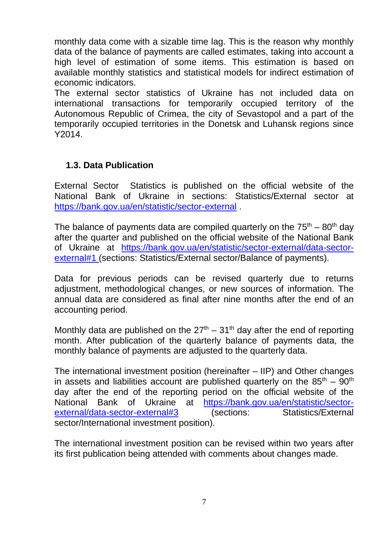monthly data come with a sizable time lag. This is the reason why monthly data of the balance of payments are called estimates, taking into account a high level of estimation of some items. This estimation is based on available monthly statistics and statistical models for indirect estimation of economic indicators.

The external sector statistics of Ukraine has not included data on international transactions for temporarily occupied territory of the Autonomous Republic of Crimea, the city of Sevastopol and a part of the temporarily occupied territories in the Donetsk and Luhansk regions since Y2014.

# **1.3. Data Publication**

External Sector Statistics is published on the official website of the National Bank of Ukraine in sections: Statistics/External sector at <https://bank.gov.ua/en/statistic/sector-external>

The balance of payments data are compiled quarterly on the  $75<sup>th</sup> - 80<sup>th</sup>$  day after the quarter and published on the official website of the National Bank of Ukraine at [https://bank.gov.ua/en/statistic/sector-external/data-sector](https://bank.gov.ua/en/statistic/sector-external/data-sector-external#1)[external#1](https://bank.gov.ua/en/statistic/sector-external/data-sector-external#1) (sections: Statistics/External sector/Balance of payments).

Data for previous periods can be revised quarterly due to returns adjustment, methodological changes, or new sources of information. The annual data are considered as final after nine months after the end of an accounting period.

Monthly data are published on the  $27<sup>th</sup> - 31<sup>th</sup>$  day after the end of reporting month. After publication of the quarterly balance of payments data, the monthly balance of payments are adjusted to the quarterly data.

The international investment position (hereinafter – IIP) and Other changes in assets and liabilities account are published quarterly on the  $85<sup>th</sup> - 90<sup>th</sup>$ day after the end of the reporting period on the official website of the National Bank of Ukraine at [https://bank.gov.ua/en/statistic/sector](https://bank.gov.ua/en/statistic/sector-external/data-sector-external#3)[external/data-sector-external#3](https://bank.gov.ua/en/statistic/sector-external/data-sector-external#3) (sections: Statistics/External sector/International investment position).

The international investment position can be revised within two years after its first publication being attended with comments about changes made.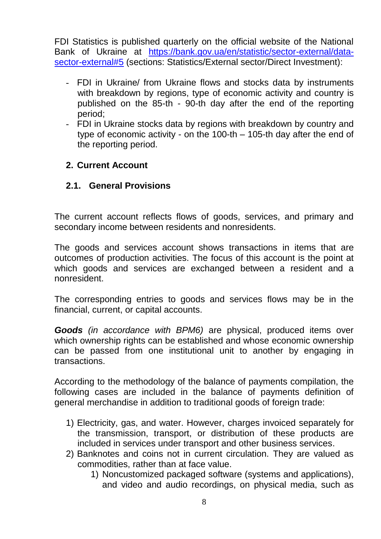FDI Statistics is published quarterly on the official website of the National Bank of Ukraine at [https://bank.gov.ua/en/statistic/sector-external/data](https://bank.gov.ua/en/statistic/sector-external/data-sector-external#5)[sector-external#5](https://bank.gov.ua/en/statistic/sector-external/data-sector-external#5) (sections: Statistics/External sector/Direct Investment):

- FDI in Ukraine/ from Ukraine flows and stocks data by instruments with breakdown by regions, type of economic activity and country is published on the 85-th - 90-th day after the end of the reporting period;
- FDI in Ukraine stocks data by regions with breakdown by country and type of economic activity - on the 100-th – 105-th day after the end of the reporting period.

#### **2. Current Account**

#### **2.1. General Provisions**

The current account reflects flows of goods, services, and primary and secondary income between residents and nonresidents.

The goods and services account shows transactions in items that are outcomes of production activities. The focus of this account is the point at which goods and services are exchanged between a resident and a nonresident.

The corresponding entries to goods and services flows may be in the financial, current, or capital accounts.

*Goods (in accordance with BPM6)* are physical, produced items over which ownership rights can be established and whose economic ownership can be passed from one institutional unit to another by engaging in transactions.

According to the methodology of the balance of payments compilation, the following cases are included in the balance of payments definition of general merchandise in addition to traditional goods of foreign trade:

- 1) Electricity, gas, and water. However, charges invoiced separately for the transmission, transport, or distribution of these products are included in services under transport and other business services.
- 2) Banknotes and coins not in current circulation. They are valued as commodities, rather than at face value.
	- 1) Noncustomized packaged software (systems and applications), and video and audio recordings, on physical media, such as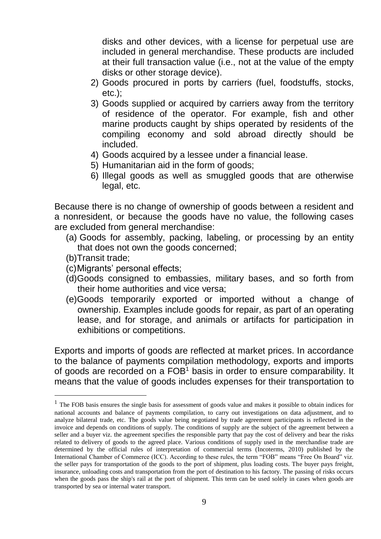disks and other devices, with a license for perpetual use are included in general merchandise. These products are included at their full transaction value (i.e., not at the value of the empty disks or other storage device).

- 2) Goods procured in ports by carriers (fuel, foodstuffs, stocks, etc.);
- 3) Goods supplied or acquired by carriers away from the territory of residence of the operator. For example, fish and other marine products caught by ships operated by residents of the compiling economy and sold abroad directly should be included.
- 4) Goods acquired by a lessee under a financial lease.
- 5) Humanitarian aid in the form of goods;
- 6) Illegal goods as well as smuggled goods that are otherwise legal, etc.

Because there is no change of ownership of goods between a resident and a nonresident, or because the goods have no value, the following cases are excluded from general merchandise:

- (a) Goods for assembly, packing, labeling, or processing by an entity that does not own the goods concerned;
- (b)Transit trade;

 $\overline{a}$ 

- (c)Migrants' personal effects;
- (d)Goods consigned to embassies, military bases, and so forth from their home authorities and vice versa;
- (e)Goods temporarily exported or imported without a change of ownership. Examples include goods for repair, as part of an operating lease, and for storage, and animals or artifacts for participation in exhibitions or competitions.

Exports and imports of goods are reflected at market prices. In accordance to the balance of payments compilation methodology, exports and imports of goods are recorded on a FOB<sup>1</sup> basis in order to ensure comparability. It means that the value of goods includes expenses for their transportation to

<sup>&</sup>lt;sup>1</sup> The FOB basis ensures the single basis for assessment of goods value and makes it possible to obtain indices for national accounts and balance of payments compilation, to carry out investigations on data adjustment, and to analyze bilateral trade, etc. The goods value being negotiated by trade agreement participants is reflected in the invoice and depends on conditions of supply. The conditions of supply are the subject of the agreement between a seller and a buyer viz. the agreement specifies the responsible party that pay the cost of delivery and bear the risks related to delivery of goods to the agreed place. Various conditions of supply used in the merchandise trade are determined by the official rules of interpretation of commercial terms (Incoterms, 2010) published by the International Chamber of Commerce (ICC). According to these rules, the term "FOB" means "Free On Board" viz. the seller pays for transportation of the goods to the port of shipment, plus loading costs. The buyer pays freight, insurance, unloading costs and transportation from the port of destination to his factory. The passing of risks occurs when the goods pass the ship's rail at the port of shipment. This term can be used solely in cases when goods are transported by sea or internal water transport.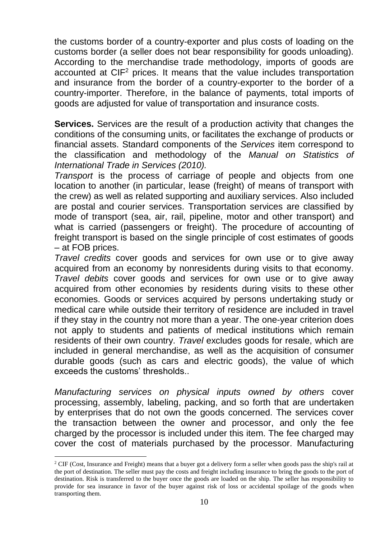the customs border of a country-exporter and plus costs of loading on the customs border (a seller does not bear responsibility for goods unloading). According to the merchandise trade methodology, imports of goods are accounted at  $CIF<sup>2</sup>$  prices. It means that the value includes transportation and insurance from the border of a country-exporter to the border of a country-importer. Therefore, in the balance of payments, total imports of goods are adjusted for value of transportation and insurance costs.

**Services.** Services are the result of a production activity that changes the conditions of the consuming units, or facilitates the exchange of products or financial assets. Standard components of the *Services* item correspond to the classification and methodology of the *Manual on Statistics of International Trade in Services (2010).*

*Transport* is the process of carriage of people and objects from one location to another (in particular, lease (freight) of means of transport with the crew) as well as related supporting and auxiliary services. Also included are postal and courier services. Transportation services are classified by mode of transport (sea, air, rail, pipeline, motor and other transport) and what is carried (passengers or freight). The procedure of accounting of freight transport is based on the single principle of cost estimates of goods – at FOB prices.

*Travel credits* cover goods and services for own use or to give away acquired from an economy by nonresidents during visits to that economy. *Travel debits* cover goods and services for own use or to give away acquired from other economies by residents during visits to these other economies. Goods or services acquired by persons undertaking study or medical care while outside their territory of residence are included in travel if they stay in the country not more than a year. The one-year criterion does not apply to students and patients of medical institutions which remain residents of their own country. *Travel* excludes goods for resale, which are included in general merchandise, as well as the acquisition of consumer durable goods (such as cars and electric goods), the value of which exceeds the customs' thresholds..

*Manufacturing services on physical inputs owned by others* cover processing, assembly, labeling, packing, and so forth that are undertaken by enterprises that do not own the goods concerned. The services cover the transaction between the owner and processor, and only the fee charged by the processor is included under this item. The fee charged may cover the cost of materials purchased by the processor. Manufacturing

 $\overline{a}$ 

<sup>&</sup>lt;sup>2</sup> CIF (Cost, Insurance and Freight) means that a buyer got a delivery form a seller when goods pass the ship's rail at the port of destination. The seller must pay the costs and freight including insurance to bring the goods to the port of destination. Risk is transferred to the buyer once the goods are loaded on the ship. The seller has responsibility to provide for sea insurance in favor of the buyer against risk of loss or accidental spoilage of the goods when transporting them.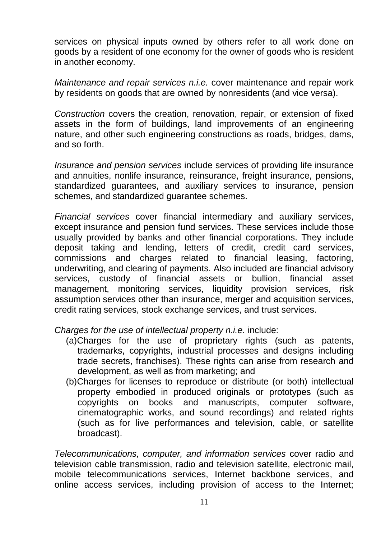services on physical inputs owned by others refer to all work done on goods by a resident of one economy for the owner of goods who is resident in another economy.

*Maintenance and repair services n.i.e.* cover maintenance and repair work by residents on goods that are owned by nonresidents (and vice versa).

*Construction* covers the creation, renovation, repair, or extension of fixed assets in the form of buildings, land improvements of an engineering nature, and other such engineering constructions as roads, bridges, dams, and so forth.

*Insurance and pension services* include services of providing life insurance and annuities, nonlife insurance, reinsurance, freight insurance, pensions, standardized guarantees, and auxiliary services to insurance, pension schemes, and standardized guarantee schemes.

*Financial services* cover financial intermediary and auxiliary services, except insurance and pension fund services. These services include those usually provided by banks and other financial corporations. They include deposit taking and lending, letters of credit, credit card services, commissions and charges related to financial leasing, factoring, underwriting, and clearing of payments. Also included are financial advisory services, custody of financial assets or bullion, financial asset management, monitoring services, liquidity provision services, risk assumption services other than insurance, merger and acquisition services, credit rating services, stock exchange services, and trust services.

*Charges for the use of intellectual property n.i.e.* include:

- (a)Charges for the use of proprietary rights (such as patents, trademarks, copyrights, industrial processes and designs including trade secrets, franchises). These rights can arise from research and development, as well as from marketing; and
- (b)Charges for licenses to reproduce or distribute (or both) intellectual property embodied in produced originals or prototypes (such as copyrights on books and manuscripts, computer software, cinematographic works, and sound recordings) and related rights (such as for live performances and television, cable, or satellite broadcast).

*Telecommunications, computer, and information services* cover radio and television cable transmission, radio and television satellite, electronic mail, mobile telecommunications services, Internet backbone services, and online access services, including provision of access to the Internet;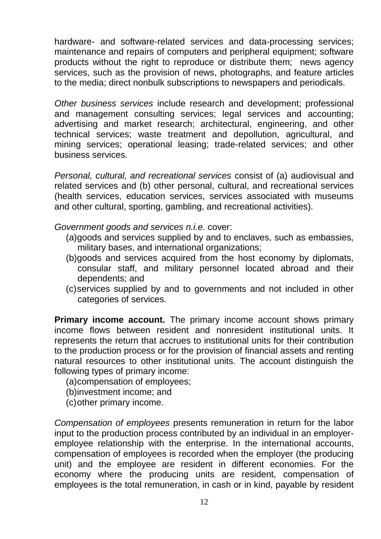hardware- and software-related services and data-processing services; maintenance and repairs of computers and peripheral equipment; software products without the right to reproduce or distribute them; news agency services, such as the provision of news, photographs, and feature articles to the media; direct nonbulk subscriptions to newspapers and periodicals.

*Other business services* include research and development; professional and management consulting services; legal services and accounting; advertising and market research; architectural, engineering, and other technical services; waste treatment and depollution, agricultural, and mining services; operational leasing; trade-related services; and other business services.

*Personal, cultural, and recreational services* consist of (a) audiovisual and related services and (b) other personal, cultural, and recreational services (health services, education services, services associated with museums and other cultural, sporting, gambling, and recreational activities).

*Government goods and services n.i.e.* cover:

- (a)goods and services supplied by and to enclaves, such as embassies, military bases, and international organizations;
- (b)goods and services acquired from the host economy by diplomats, consular staff, and military personnel located abroad and their dependents; and
- (c)services supplied by and to governments and not included in other categories of services.

**Primary income account.** The primary income account shows primary income flows between resident and nonresident institutional units. It represents the return that accrues to institutional units for their contribution to the production process or for the provision of financial assets and renting natural resources to other institutional units. The account distinguish the following types of primary income:

(a)compensation of employees;

(b)investment income; and

(c)other primary income.

*Compensation of employees* presents remuneration in return for the labor input to the production process contributed by an individual in an employeremployee relationship with the enterprise. In the international accounts, compensation of employees is recorded when the employer (the producing unit) and the employee are resident in different economies. For the economy where the producing units are resident, compensation of employees is the total remuneration, in cash or in kind, payable by resident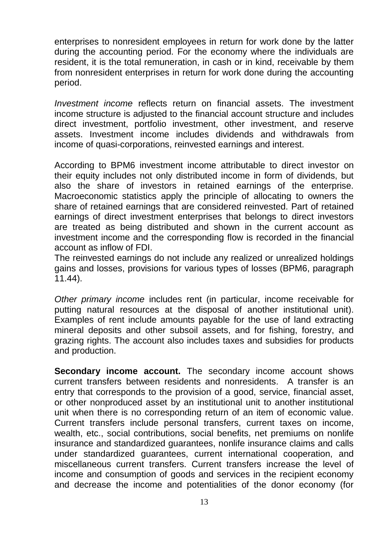enterprises to nonresident employees in return for work done by the latter during the accounting period. For the economy where the individuals are resident, it is the total remuneration, in cash or in kind, receivable by them from nonresident enterprises in return for work done during the accounting period.

*Investment income* reflects return on financial assets. The investment income structure is adjusted to the financial account structure and includes direct investment, portfolio investment, other investment, and reserve assets. Investment income includes dividends and withdrawals from income of quasi-corporations, reinvested earnings and interest.

According to BPM6 investment income attributable to direct investor on their equity includes not only distributed income in form of dividends, but also the share of investors in retained earnings of the enterprise. Macroeconomic statistics apply the principle of allocating to owners the share of retained earnings that are considered reinvested. Part of retained earnings of direct investment enterprises that belongs to direct investors are treated as being distributed and shown in the current account as investment income and the corresponding flow is recorded in the financial account as inflow of FDI.

The reinvested earnings do not include any realized or unrealized holdings gains and losses, provisions for various types of losses (BPM6, paragraph 11.44).

*Other primary income* includes rent (in particular, income receivable for putting natural resources at the disposal of another institutional unit). Examples of rent include amounts payable for the use of land extracting mineral deposits and other subsoil assets, and for fishing, forestry, and grazing rights. The account also includes taxes and subsidies for products and production.

**Secondary income account.** The secondary income account shows current transfers between residents and nonresidents. A transfer is an entry that corresponds to the provision of a good, service, financial asset, or other nonproduced asset by an institutional unit to another institutional unit when there is no corresponding return of an item of economic value. Current transfers include personal transfers, current taxes on income, wealth, etc., social contributions, social benefits, net premiums on nonlife insurance and standardized guarantees, nonlife insurance claims and calls under standardized guarantees, current international cooperation, and miscellaneous current transfers. Current transfers increase the level of income and consumption of goods and services in the recipient economy and decrease the income and potentialities of the donor economy (for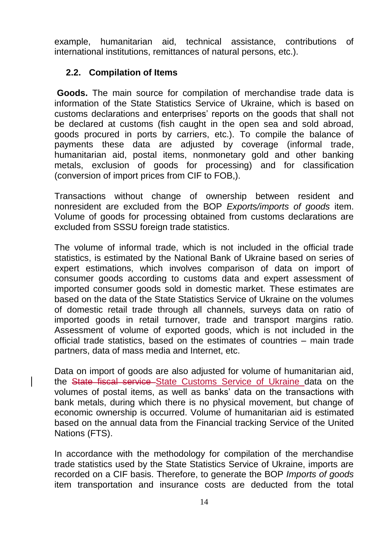example, humanitarian aid, technical assistance, contributions of international institutions, remittances of natural persons, etc.).

# **2.2. Compilation of Items**

**Goods.** The main source for compilation of merchandise trade data is information of the State Statistics Service of Ukraine, which is based on customs declarations and enterprises' reports on the goods that shall not be declared at customs (fish caught in the open sea and sold abroad, goods procured in ports by carriers, etc.). To compile the balance of payments these data are adjusted by coverage (informal trade, humanitarian aid, postal items, nonmonetary gold and other banking metals, exclusion of goods for processing) and for classification (conversion of import prices from CIF to FOB,).

Transactions without change of ownership between resident and nonresident are excluded from the BOP *Exports/imports of goods* item. Volume of goods for processing obtained from customs declarations are excluded from SSSU foreign trade statistics.

The volume of informal trade, which is not included in the official trade statistics, is estimated by the National Bank of Ukraine based on series of expert estimations, which involves comparison of data on import of consumer goods according to customs data and expert assessment of imported consumer goods sold in domestic market. These estimates are based on the data of the State Statistics Service of Ukraine on the volumes of domestic retail trade through all channels, surveys data on ratio of imported goods in retail turnover, trade and transport margins ratio. Assessment of volume of exported goods, which is not included in the official trade statistics, based on the estimates of countries – main trade partners, data of mass media and Internet, etc.

Data on import of goods are also adjusted for volume of humanitarian aid, the State fiscal service State Customs Service of Ukraine data on the volumes of postal items, as well as banks' data on the transactions with bank metals, during which there is no physical movement, but change of economic ownership is occurred. Volume of humanitarian aid is estimated based on the annual data from the Financial tracking Service of the United Nations (FTS).

In accordance with the methodology for compilation of the merchandise trade statistics used by the State Statistics Service of Ukraine, imports are recorded on a CIF basis. Therefore, to generate the BOP *Imports of goods* item transportation and insurance costs are deducted from the total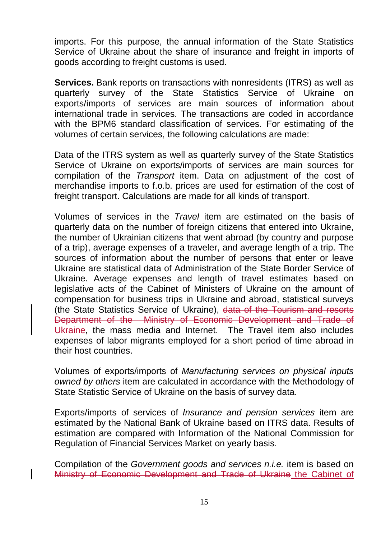imports. For this purpose, the annual information of the State Statistics Service of Ukraine about the share of insurance and freight in imports of goods according to freight customs is used.

**Services.** Bank reports on transactions with nonresidents (ITRS) as well as quarterly survey of the State Statistics Service of Ukraine on exports/imports of services are main sources of information about international trade in services. The transactions are coded in accordance with the BPM6 standard classification of services. For estimating of the volumes of certain services, the following calculations are made:

Data of the ITRS system as well as quarterly survey of the State Statistics Service of Ukraine on exports/imports of services are main sources for compilation of the *Transport* item. Data on adjustment of the cost of merchandise imports to f.o.b. prices are used for estimation of the cost of freight transport. Calculations are made for all kinds of transport.

Volumes of services in the *Travel* item are estimated on the basis of quarterly data on the number of foreign citizens that entered into Ukraine, the number of Ukrainian citizens that went abroad (by country and purpose of a trip), average expenses of a traveler, and average length of a trip. The sources of information about the number of persons that enter or leave Ukraine are statistical data of Administration of the State Border Service of Ukraine. Average expenses and length of travel estimates based on legislative acts of the Cabinet of Ministers of Ukraine on the amount of compensation for business trips in Ukraine and abroad, statistical surveys (the State Statistics Service of Ukraine), data of the Tourism and resorts Department of the Ministry of Economic Development and Trade of Ukraine, the mass media and Internet. The Travel item also includes expenses of labor migrants employed for a short period of time abroad in their host countries.

Volumes of exports/imports of *Manufacturing services on physical inputs owned by others* item are calculated in accordance with the Methodology of State Statistic Service of Ukraine on the basis of survey data.

Exports/imports of services of *Insurance and pension services* item are estimated by the National Bank of Ukraine based on ITRS data. Results of estimation are compared with Information of the National Commission for Regulation of Financial Services Market on yearly basis.

Compilation of the *Government goods and services n.i.e.* item is based on Ministry of Economic Development and Trade of Ukraine the Cabinet of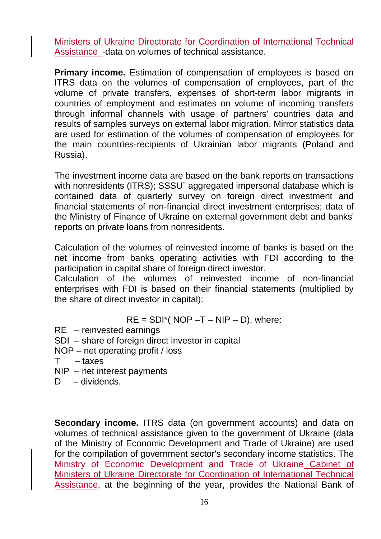Ministers of Ukraine Directorate for Coordination of International Technical Assistance - data on volumes of technical assistance.

**Primary income.** Estimation of compensation of employees is based on ITRS data on the volumes of compensation of employees, part of the volume of private transfers, expenses of short-term labor migrants in countries of employment and estimates on volume of incoming transfers through informal channels with usage of partners' countries data and results of samples surveys on external labor migration. Mirror statistics data are used for estimation of the volumes of compensation of employees for the main countries-recipients of Ukrainian labor migrants (Poland and Russia).

The investment income data are based on the bank reports on transactions with nonresidents (ITRS); SSSU` aggregated impersonal database which is contained data of quarterly survey on foreign direct investment and financial statements of non-financial direct investment enterprises; data of the Ministry of Finance of Ukraine on external government debt and banks' reports on private loans from nonresidents.

Calculation of the volumes of reinvested income of banks is based on the net income from banks operating activities with FDI according to the participation in capital share of foreign direct investor.

Calculation of the volumes of reinvested income of non-financial enterprises with FDI is based on their financial statements (multiplied by the share of direct investor in capital):

$$
RE = SDI^*( NOP - T - NIP - D)
$$
, where:

- RE reinvested earnings
- SDI share of foreign direct investor in capital
- NOP net operating profit / loss
- T taxes
- NIP net interest payments
- D dividends.

**Secondary income.** ITRS data (on government accounts) and data on volumes of technical assistance given to the government of Ukraine (data of the Ministry of Economic Development and Trade of Ukraine) are used for the compilation of government sector's secondary income statistics. The Ministry of Economic Development and Trade of Ukraine Cabinet of Ministers of Ukraine Directorate for Coordination of International Technical Assistance, at the beginning of the year, provides the National Bank of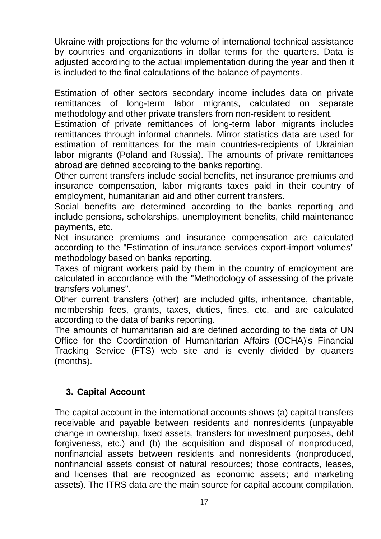Ukraine with projections for the volume of international technical assistance by countries and organizations in dollar terms for the quarters. Data is adjusted according to the actual implementation during the year and then it is included to the final calculations of the balance of payments.

Estimation of other sectors secondary income includes data on private remittances of long-term labor migrants, calculated on separate methodology and other private transfers from non-resident to resident.

Estimation of private remittances of long-term labor migrants includes remittances through informal channels. Mirror statistics data are used for estimation of remittances for the main countries-recipients of Ukrainian labor migrants (Poland and Russia). The amounts of private remittances abroad are defined according to the banks reporting.

Other current transfers include social benefits, net insurance premiums and insurance compensation, labor migrants taxes paid in their country of employment, humanitarian aid and other current transfers.

Social benefits are determined according to the banks reporting and include pensions, scholarships, unemployment benefits, child maintenance payments, etc.

Net insurance premiums and insurance compensation are calculated according to the "Estimation of insurance services export-import volumes" methodology based on banks reporting.

Taxes of migrant workers paid by them in the country of employment are calculated in accordance with the "Methodology of assessing of the private transfers volumes".

Other current transfers (other) are included gifts, inheritance, charitable, membership fees, grants, taxes, duties, fines, etc. and are calculated according to the data of banks reporting.

The amounts of humanitarian aid are defined according to the data of UN Office for the Coordination of Humanitarian Affairs (OCHA)'s Financial Tracking Service (FTS) web site and is evenly divided by quarters (months).

# **3. Capital Account**

The capital account in the international accounts shows (a) capital transfers receivable and payable between residents and nonresidents (unpayable change in ownership, fixed assets, transfers for investment purposes, debt forgiveness, etc.) and (b) the acquisition and disposal of nonproduced, nonfinancial assets between residents and nonresidents (nonproduced, nonfinancial assets consist of natural resources; those contracts, leases, and licenses that are recognized as economic assets; and marketing assets). The ITRS data are the main source for capital account compilation.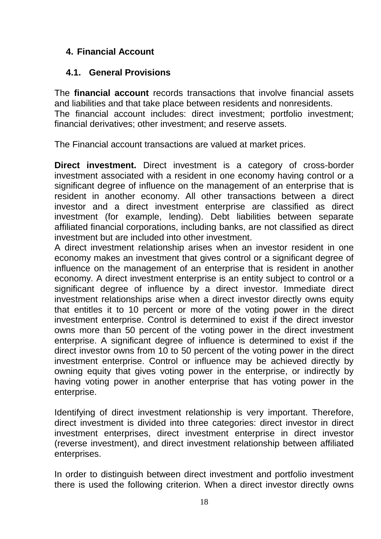# **4. Financial Account**

# **4.1. General Provisions**

The **financial account** records transactions that involve financial assets and liabilities and that take place between residents and nonresidents. The financial account includes: direct investment; portfolio investment; financial derivatives; other investment; and reserve assets.

The Financial account transactions are valued at market prices.

**Direct investment.** Direct investment is a category of cross-border investment associated with a resident in one economy having control or a significant degree of influence on the management of an enterprise that is resident in another economy. All other transactions between a direct investor and a direct investment enterprise are classified as direct investment (for example, lending). Debt liabilities between separate affiliated financial corporations, including banks, are not classified as direct investment but are included into other investment.

A direct investment relationship arises when an investor resident in one economy makes an investment that gives control or a significant degree of influence on the management of an enterprise that is resident in another economy. A direct investment enterprise is an entity subject to control or a significant degree of influence by a direct investor. Immediate direct investment relationships arise when a direct investor directly owns equity that entitles it to 10 percent or more of the voting power in the direct investment enterprise. Control is determined to exist if the direct investor owns more than 50 percent of the voting power in the direct investment enterprise. A significant degree of influence is determined to exist if the direct investor owns from 10 to 50 percent of the voting power in the direct investment enterprise. Control or influence may be achieved directly by owning equity that gives voting power in the enterprise, or indirectly by having voting power in another enterprise that has voting power in the enterprise.

Identifying of direct investment relationship is very important. Therefore, direct investment is divided into three categories: direct investor in direct investment enterprises, direct investment enterprise in direct investor (reverse investment), and direct investment relationship between affiliated enterprises.

In order to distinguish between direct investment and portfolio investment there is used the following criterion. When a direct investor directly owns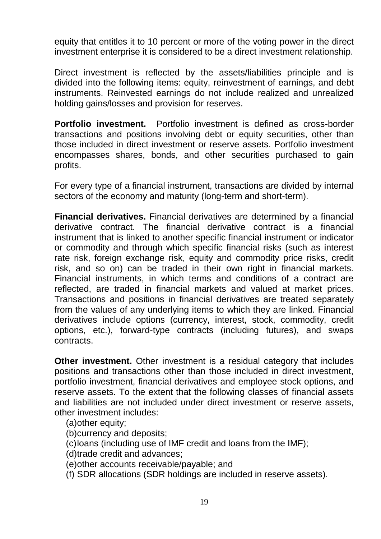equity that entitles it to 10 percent or more of the voting power in the direct investment enterprise it is considered to be a direct investment relationship.

Direct investment is reflected by the assets/liabilities principle and is divided into the following items: equity, reinvestment of earnings, and debt instruments. Reinvested earnings do not include realized and unrealized holding gains/losses and provision for reserves.

**Portfolio investment.** Portfolio investment is defined as cross-border transactions and positions involving debt or equity securities, other than those included in direct investment or reserve assets. Portfolio investment encompasses shares, bonds, and other securities purchased to gain profits.

For every type of a financial instrument, transactions are divided by internal sectors of the economy and maturity (long-term and short-term).

**Financial derivatives.** Financial derivatives are determined by a financial derivative contract. The financial derivative contract is a financial instrument that is linked to another specific financial instrument or indicator or commodity and through which specific financial risks (such as interest rate risk, foreign exchange risk, equity and commodity price risks, credit risk, and so on) can be traded in their own right in financial markets. Financial instruments, in which terms and conditions of a contract are reflected, are traded in financial markets and valued at market prices. Transactions and positions in financial derivatives are treated separately from the values of any underlying items to which they are linked. Financial derivatives include options (currency, interest, stock, commodity, credit options, etc.), forward-type contracts (including futures), and swaps contracts.

**Other investment.** Other investment is a residual category that includes positions and transactions other than those included in direct investment, portfolio investment, financial derivatives and employee stock options, and reserve assets. To the extent that the following classes of financial assets and liabilities are not included under direct investment or reserve assets, other investment includes:

(a)other equity;

(b)currency and deposits;

(c)loans (including use of IMF credit and loans from the IMF);

(d)trade credit and advances;

(e)other accounts receivable/payable; and

(f) SDR allocations (SDR holdings are included in reserve assets).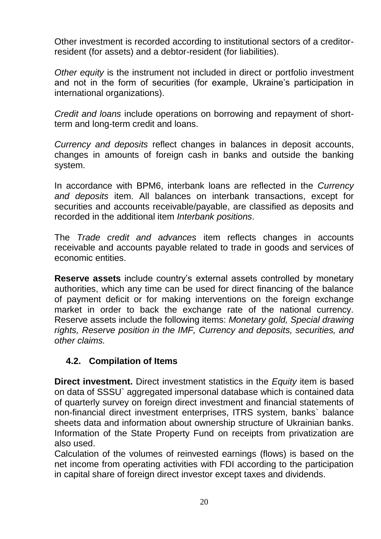Other investment is recorded according to institutional sectors of a creditorresident (for assets) and a debtor-resident (for liabilities).

*Other equity* is the instrument not included in direct or portfolio investment and not in the form of securities (for example, Ukraine's participation in international organizations).

*Credit and loans* include operations on borrowing and repayment of shortterm and long-term credit and loans.

*Currency and deposits* reflect changes in balances in deposit accounts, changes in amounts of foreign cash in banks and outside the banking system.

In accordance with BPM6, interbank loans are reflected in the *Currency and deposits* item. All balances on interbank transactions, except for securities and accounts receivable/payable, are classified as deposits and recorded in the additional item *Interbank positions*.

The *Trade credit and advances* item reflects changes in accounts receivable and accounts payable related to trade in goods and services of economic entities.

**Reserve assets** include country's external assets controlled by monetary authorities, which any time can be used for direct financing of the balance of payment deficit or for making interventions on the foreign exchange market in order to back the exchange rate of the national currency. Reserve assets include the following items: *Monetary gold, Special drawing rights, Reserve position in the IMF, Currency and deposits, securities, and other claims.*

# **4.2. Compilation of Items**

**Direct investment.** Direct investment statistics in the *Equity* item is based on data of SSSU` aggregated impersonal database which is contained data of quarterly survey on foreign direct investment and financial statements of non-financial direct investment enterprises, ITRS system, banks` balance sheets data and information about ownership structure of Ukrainian banks. Information of the State Property Fund on receipts from privatization are also used.

Calculation of the volumes of reinvested earnings (flows) is based on the net income from operating activities with FDI according to the participation in capital share of foreign direct investor except taxes and dividends.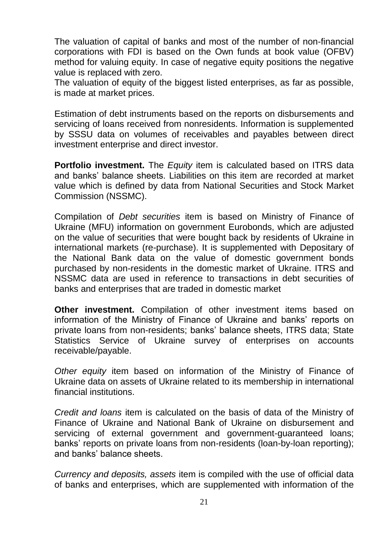The valuation of capital of banks and most of the number of non-financial corporations with FDI is based on the Own funds at book value (OFBV) method for valuing equity. In case of negative equity positions the negative value is replaced with zero.

The valuation of equity of the biggest listed enterprises, as far as possible, is made at market prices.

Estimation of debt instruments based on the reports on disbursements and servicing of loans received from nonresidents. Information is supplemented by SSSU data on volumes of receivables and payables between direct investment enterprise and direct investor.

**Portfolio investment.** The *Equity* item is calculated based on ITRS data and banks' balance sheets. Liabilities on this item are recorded at market value which is defined by data from National Securities and Stock Market Commission (NSSMC).

Compilation of *Debt securities* item is based on Ministry of Finance of Ukraine (MFU) information on government Eurobonds, which are adjusted on the value of securities that were bought back by residents of Ukraine in international markets (re-purchase). It is supplemented with Depositary of the National Bank data on the value of domestic government bonds purchased by non-residents in the domestic market of Ukraine. ITRS and NSSMC data are used in reference to transactions in debt securities of banks and enterprises that are traded in domestic market

**Other investment.** Compilation of other investment items based on information of the Ministry of Finance of Ukraine and banks' reports on private loans from non-residents; banks' balance sheets, ITRS data; State Statistics Service of Ukraine survey of enterprises on accounts receivable/payable.

*Other equity* item based on information of the Ministry of Finance of Ukraine data on assets of Ukraine related to its membership in international financial institutions.

*Credit and loans* item is calculated on the basis of data of the Ministry of Finance of Ukraine and National Bank of Ukraine on disbursement and servicing of external government and government-guaranteed loans; banks' reports on private loans from non-residents (loan-by-loan reporting); and banks' balance sheets.

*Currency and deposits, assets* item is compiled with the use of official data of banks and enterprises, which are supplemented with information of the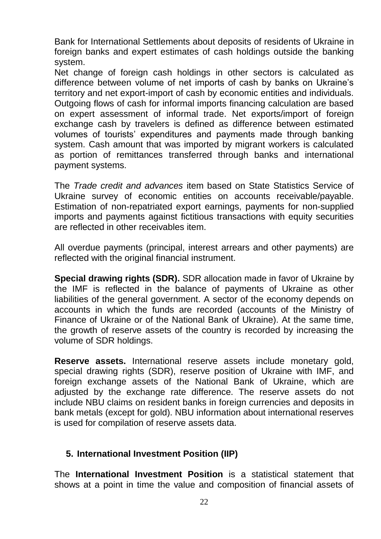Bank for International Settlements about deposits of residents of Ukraine in foreign banks and expert estimates of cash holdings outside the banking system.

Net change of foreign cash holdings in other sectors is calculated as difference between volume of net imports of cash by banks on Ukraine's territory and net export-import of cash by economic entities and individuals. Outgoing flows of cash for informal imports financing calculation are based on expert assessment of informal trade. Net exports/import of foreign exchange cash by travelers is defined as difference between estimated volumes of tourists' expenditures and payments made through banking system. Cash amount that was imported by migrant workers is calculated as portion of remittances transferred through banks and international payment systems.

The *Trade credit and advances* item based on State Statistics Service of Ukraine survey of economic entities on accounts receivable/payable. Estimation of non-repatriated export earnings, payments for non-supplied imports and payments against fictitious transactions with equity securities are reflected in other receivables item.

All overdue payments (principal, interest arrears and other payments) are reflected with the original financial instrument.

**Special drawing rights (SDR).** SDR allocation made in favor of Ukraine by the IMF is reflected in the balance of payments of Ukraine as other liabilities of the general government. A sector of the economy depends on accounts in which the funds are recorded (accounts of the Ministry of Finance of Ukraine or of the National Bank of Ukraine). At the same time, the growth of reserve assets of the country is recorded by increasing the volume of SDR holdings.

**Reserve assets.** International reserve assets include monetary gold, special drawing rights (SDR), reserve position of Ukraine with IMF, and foreign exchange assets of the National Bank of Ukraine, which are adjusted by the exchange rate difference. The reserve assets do not include NBU claims on resident banks in foreign currencies and deposits in bank metals (except for gold). NBU information about international reserves is used for compilation of reserve assets data.

#### **5. International Investment Position (IIP)**

The **International Investment Position** is a statistical statement that shows at a point in time the value and composition of financial assets of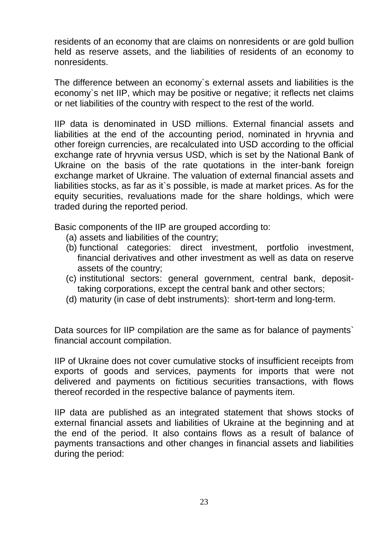residents of an economy that are claims on nonresidents or are gold bullion held as reserve assets, and the liabilities of residents of an economy to nonresidents.

The difference between an economy`s external assets and liabilities is the economy`s net IIP, which may be positive or negative; it reflects net claims or net liabilities of the country with respect to the rest of the world.

IIP data is denominated in USD millions. External financial assets and liabilities at the end of the accounting period, nominated in hryvnia and other foreign currencies, are recalculated into USD according to the official exchange rate of hryvnia versus USD, which is set by the National Bank of Ukraine on the basis of the rate quotations in the inter-bank foreign exchange market of Ukraine. The valuation of external financial assets and liabilities stocks, as far as it`s possible, is made at market prices. As for the equity securities, revaluations made for the share holdings, which were traded during the reported period.

Basic components of the IIP are grouped according to:

- (a) assets and liabilities of the country;
- (b) functional categories: direct investment, portfolio investment, financial derivatives and other investment as well as data on reserve assets of the country;
- (c) institutional sectors: general government, central bank, deposittaking corporations, except the central bank and other sectors;
- (d) maturity (in case of debt instruments): short-term and long-term.

Data sources for IIP compilation are the same as for balance of payments` financial account compilation.

IIP of Ukraine does not cover cumulative stocks of insufficient receipts from exports of goods and services, payments for imports that were not delivered and payments on fictitious securities transactions, with flows thereof recorded in the respective balance of payments item.

IIP data are published as an integrated statement that shows stocks of external financial assets and liabilities of Ukraine at the beginning and at the end of the period. It also contains flows as a result of balance of payments transactions and other changes in financial assets and liabilities during the period: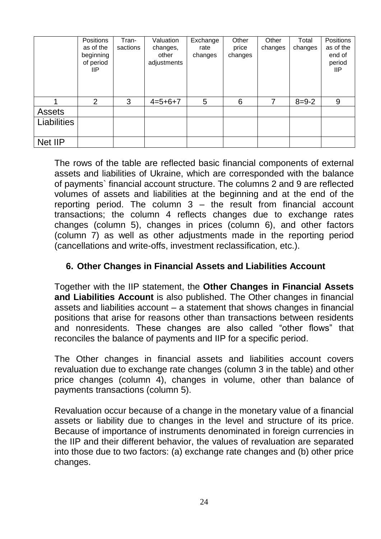|                    | Positions<br>as of the<br>beginning<br>of period<br>llP | Tran-<br>sactions | Valuation<br>changes,<br>other<br>adjustments | Exchange<br>rate<br>changes | Other<br>price<br>changes | Other<br>changes | Total<br>changes | Positions<br>as of the<br>end of<br>period<br><b>IIP</b> |
|--------------------|---------------------------------------------------------|-------------------|-----------------------------------------------|-----------------------------|---------------------------|------------------|------------------|----------------------------------------------------------|
|                    | 2                                                       | 3                 | $4=5+6+7$                                     | 5                           | 6                         | 7                | $8 = 9 - 2$      | 9                                                        |
| <b>Assets</b>      |                                                         |                   |                                               |                             |                           |                  |                  |                                                          |
| <b>Liabilities</b> |                                                         |                   |                                               |                             |                           |                  |                  |                                                          |
| Net IIP            |                                                         |                   |                                               |                             |                           |                  |                  |                                                          |

The rows of the table are reflected basic financial components of external assets and liabilities of Ukraine, which are corresponded with the balance of payments` financial account structure. The columns 2 and 9 are reflected volumes of assets and liabilities at the beginning and at the end of the reporting period. The column  $3 -$  the result from financial account transactions; the column 4 reflects changes due to exchange rates changes (column 5), changes in prices (column 6), and other factors (column 7) as well as other adjustments made in the reporting period (cancellations and write-offs, investment reclassification, etc.).

# **6. Other Changes in Financial Assets and Liabilities Account**

Together with the IIP statement, the **Other Changes in Financial Assets and Liabilities Account** is also published. The Other changes in financial assets and liabilities account – a statement that shows changes in financial positions that arise for reasons other than transactions between residents and nonresidents. These changes are also called "other flows" that reconciles the balance of payments and IIP for a specific period.

The Other changes in financial assets and liabilities account covers revaluation due to exchange rate changes (column 3 in the table) and other price changes (column 4), changes in volume, other than balance of payments transactions (column 5).

Revaluation occur because of a change in the monetary value of a financial assets or liability due to changes in the level and structure of its price. Because of importance of instruments denominated in foreign currencies in the IIP and their different behavior, the values of revaluation are separated into those due to two factors: (a) exchange rate changes and (b) other price changes.